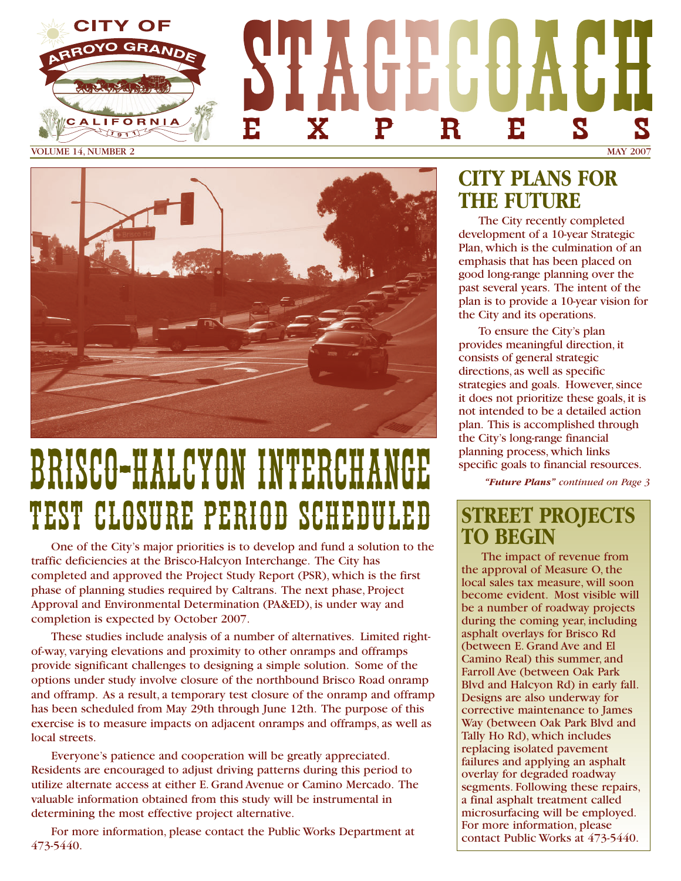

VOLUME 14, NUMBER 2 MAY 2007



# BRICCO-HALCYON INTERCHA TEST CLOSURE PERIOD SCHEDULED

One of the City's major priorities is to develop and fund a solution to the traffic deficiencies at the Brisco-Halcyon Interchange. The City has completed and approved the Project Study Report (PSR), which is the first phase of planning studies required by Caltrans. The next phase, Project Approval and Environmental Determination (PA&ED), is under way and completion is expected by October 2007.

These studies include analysis of a number of alternatives. Limited rightof-way, varying elevations and proximity to other onramps and offramps provide significant challenges to designing a simple solution. Some of the options under study involve closure of the northbound Brisco Road onramp and offramp. As a result, a temporary test closure of the onramp and offramp has been scheduled from May 29th through June 12th. The purpose of this exercise is to measure impacts on adjacent onramps and offramps, as well as local streets.

Everyone's patience and cooperation will be greatly appreciated. Residents are encouraged to adjust driving patterns during this period to utilize alternate access at either E. Grand Avenue or Camino Mercado. The valuable information obtained from this study will be instrumental in determining the most effective project alternative.

For more information, please contact the Public Works Department at 473-5440.

## **CITY PLANS FOR THE FUTURE**

The City recently completed development of a 10-year Strategic Plan, which is the culmination of an emphasis that has been placed on good long-range planning over the past several years. The intent of the plan is to provide a 10-year vision for the City and its operations.

To ensure the City's plan provides meaningful direction, it consists of general strategic directions, as well as specific strategies and goals. However, since it does not prioritize these goals, it is not intended to be a detailed action plan. This is accomplished through the City's long-range financial planning process, which links specific goals to financial resources.

*"Future Plans" continued on Page 3*

## **STREET PROJECTS TO BEGIN**

The impact of revenue from the approval of Measure O, the local sales tax measure, will soon become evident. Most visible will be a number of roadway projects during the coming year, including asphalt overlays for Brisco Rd (between E. Grand Ave and El Camino Real) this summer, and Farroll Ave (between Oak Park Blvd and Halcyon Rd) in early fall. Designs are also underway for corrective maintenance to James Way (between Oak Park Blvd and Tally Ho Rd), which includes replacing isolated pavement failures and applying an asphalt overlay for degraded roadway segments. Following these repairs, a final asphalt treatment called microsurfacing will be employed. For more information, please contact Public Works at 473-5440.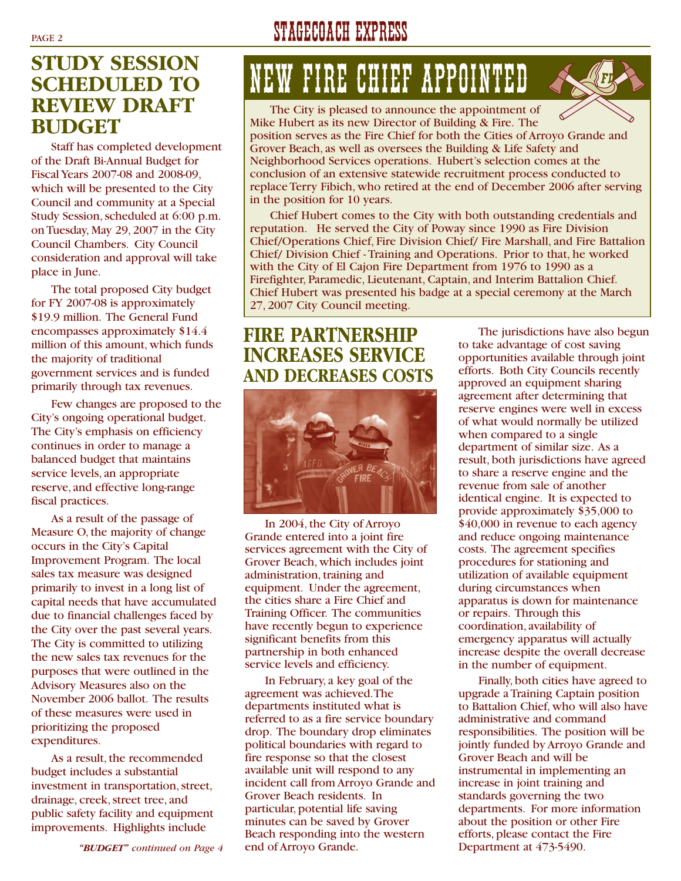### **STUDY SESSION SCHEDULED TO REVIEW DRAFT BUDGET**

Staff has completed development of the Draft Bi-Annual Budget for Fiscal Years 2007-08 and 2008-09, which will be presented to the City Council and community at a Special Study Session, scheduled at 6:00 p.m. on Tuesday, May 29, 2007 in the City Council Chambers. City Council consideration and approval will take place in June.

The total proposed City budget for FY 2007-08 is approximately \$19.9 million. The General Fund encompasses approximately \$14.4 million of this amount, which funds the majority of traditional government services and is funded primarily through tax revenues.

Few changes are proposed to the City's ongoing operational budget. The City's emphasis on efficiency continues in order to manage a balanced budget that maintains service levels, an appropriate reserve, and effective long-range fiscal practices.

As a result of the passage of Measure O, the majority of change occurs in the City's Capital Improvement Program. The local sales tax measure was designed primarily to invest in a long list of capital needs that have accumulated due to financial challenges faced by the City over the past several years. The City is committed to utilizing the new sales tax revenues for the purposes that were outlined in the Advisory Measures also on the November 2006 ballot. The results of these measures were used in prioritizing the proposed expenditures.

As a result, the recommended budget includes a substantial investment in transportation, street, drainage, creek, street tree, and public safety facility and equipment improvements. Highlights include

PAGE 2 STAGECOACH EXPRESS

## NEW FIRE CHIEF APPOINTED

The City is pleased to announce the appointment of Mike Hubert as its new Director of Building & Fire. The position serves as the Fire Chief for both the Cities of Arroyo Grande and Grover Beach, as well as oversees the Building & Life Safety and Neighborhood Services operations. Hubert's selection comes at the conclusion of an extensive statewide recruitment process conducted to replace Terry Fibich, who retired at the end of December 2006 after serving in the position for 10 years.

Chief Hubert comes to the City with both outstanding credentials and reputation. He served the City of Poway since 1990 as Fire Division Chief/Operations Chief, Fire Division Chief/ Fire Marshall, and Fire Battalion Chief/ Division Chief - Training and Operations. Prior to that, he worked with the City of El Cajon Fire Department from 1976 to 1990 as a Firefighter, Paramedic, Lieutenant, Captain, and Interim Battalion Chief. Chief Hubert was presented his badge at a special ceremony at the March 27, 2007 City Council meeting.

### **FIRE PARTNERSHIP INCREASES SERVICE AND DECREASES COSTS**



In 2004, the City of Arroyo Grande entered into a joint fire services agreement with the City of Grover Beach, which includes joint administration, training and equipment. Under the agreement, the cities share a Fire Chief and Training Officer. The communities have recently begun to experience significant benefits from this partnership in both enhanced service levels and efficiency.

In February, a key goal of the agreement was achieved.The departments instituted what is referred to as a fire service boundary drop. The boundary drop eliminates political boundaries with regard to fire response so that the closest available unit will respond to any incident call from Arroyo Grande and Grover Beach residents. In particular, potential life saving minutes can be saved by Grover Beach responding into the western end of Arroyo Grande.

The jurisdictions have also begun to take advantage of cost saving opportunities available through joint efforts. Both City Councils recently approved an equipment sharing agreement after determining that reserve engines were well in excess of what would normally be utilized when compared to a single department of similar size. As a result, both jurisdictions have agreed to share a reserve engine and the revenue from sale of another identical engine. It is expected to provide approximately \$35,000 to \$40,000 in revenue to each agency and reduce ongoing maintenance costs. The agreement specifies procedures for stationing and utilization of available equipment during circumstances when apparatus is down for maintenance or repairs. Through this coordination, availability of emergency apparatus will actually increase despite the overall decrease in the number of equipment.

Finally, both cities have agreed to upgrade a Training Captain position to Battalion Chief, who will also have administrative and command responsibilities. The position will be jointly funded by Arroyo Grande and Grover Beach and will be instrumental in implementing an increase in joint training and standards governing the two departments. For more information about the position or other Fire efforts, please contact the Fire Department at 473-5490.

*"BUDGET" continued on Page 4*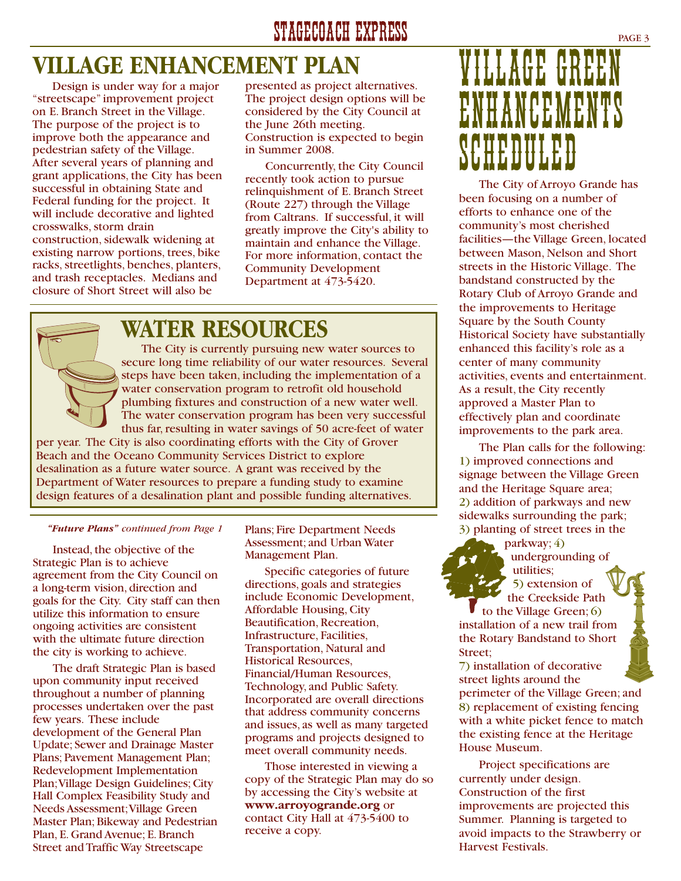## **VILLAGE ENHANCEMENT PLAN**

Design is under way for a major "streetscape" improvement project on E. Branch Street in the Village. The purpose of the project is to improve both the appearance and pedestrian safety of the Village. After several years of planning and grant applications, the City has been successful in obtaining State and Federal funding for the project. It will include decorative and lighted crosswalks, storm drain construction, sidewalk widening at existing narrow portions, trees, bike racks, streetlights, benches, planters, and trash receptacles. Medians and closure of Short Street will also be

presented as project alternatives. The project design options will be considered by the City Council at the June 26th meeting. Construction is expected to begin in Summer 2008.

Concurrently, the City Council recently took action to pursue relinquishment of E. Branch Street (Route 227) through the Village from Caltrans. If successful, it will greatly improve the City's ability to maintain and enhance the Village. For more information, contact the Community Development Department at 473-5420.

## **WATER RESOURCES**

The City is currently pursuing new water sources to secure long time reliability of our water resources. Several steps have been taken, including the implementation of a water conservation program to retrofit old household plumbing fixtures and construction of a new water well. The water conservation program has been very successful thus far, resulting in water savings of 50 acre-feet of water per year. The City is also coordinating efforts with the City of Grover Beach and the Oceano Community Services District to explore desalination as a future water source. A grant was received by the Department of Water resources to prepare a funding study to examine design features of a desalination plant and possible funding alternatives.

#### *"Future Plans" continued from Page 1*

Instead, the objective of the Strategic Plan is to achieve agreement from the City Council on a long-term vision, direction and goals for the City. City staff can then utilize this information to ensure ongoing activities are consistent with the ultimate future direction the city is working to achieve.

The draft Strategic Plan is based upon community input received throughout a number of planning processes undertaken over the past few years. These include development of the General Plan Update; Sewer and Drainage Master Plans; Pavement Management Plan; Redevelopment Implementation Plan;Village Design Guidelines; City Hall Complex Feasibility Study and Needs Assessment;Village Green Master Plan; Bikeway and Pedestrian Plan, E. Grand Avenue; E. Branch Street and Traffic Way Streetscape

Plans; Fire Department Needs Assessment; and Urban Water Management Plan.

Specific categories of future directions, goals and strategies include Economic Development, Affordable Housing, City Beautification, Recreation, Infrastructure, Facilities, Transportation, Natural and Historical Resources, Financial/Human Resources, Technology, and Public Safety. Incorporated are overall directions that address community concerns and issues, as well as many targeted programs and projects designed to meet overall community needs.

Those interested in viewing a copy of the Strategic Plan may do so by accessing the City's website at **www.arroyogrande.org** or contact City Hall at 473-5400 to receive a copy.

## VILLAGE GREEN VHANCEMEN SCHEDULED<br>Scheduled und der Anton

The City of Arroyo Grande has been focusing on a number of efforts to enhance one of the community's most cherished facilities—the Village Green, located between Mason, Nelson and Short streets in the Historic Village. The bandstand constructed by the Rotary Club of Arroyo Grande and the improvements to Heritage Square by the South County Historical Society have substantially enhanced this facility's role as a center of many community activities, events and entertainment. As a result, the City recently approved a Master Plan to effectively plan and coordinate improvements to the park area.

The Plan calls for the following: 1) improved connections and signage between the Village Green and the Heritage Square area; 2) addition of parkways and new sidewalks surrounding the park; 3) planting of street trees in the

parkway; 4)

undergrounding of utilities; 5) extension of the Creekside Path

to the Village Green; 6) installation of a new trail from the Rotary Bandstand to Short Street;

7) installation of decorative street lights around the perimeter of the Village Green; and 8) replacement of existing fencing with a white picket fence to match the existing fence at the Heritage House Museum.

Project specifications are currently under design. Construction of the first improvements are projected this Summer. Planning is targeted to avoid impacts to the Strawberry or Harvest Festivals.